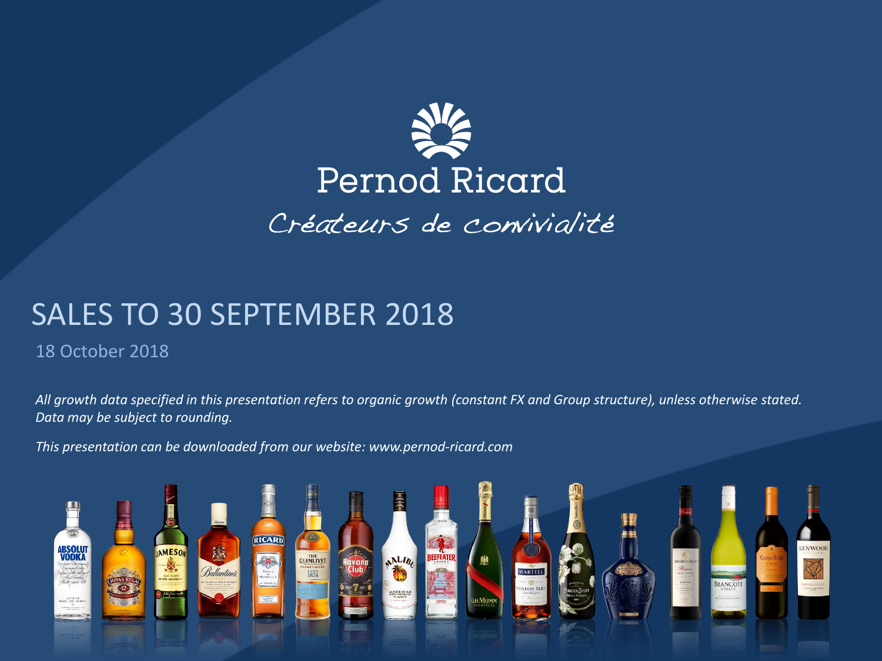

# SALES TO 30 SEPTEMBER 2018

#### 18 October 2018

*All growth data specified in this presentation refers to organic growth (constant FX and Group structure), unless otherwise stated. Data may be subject to rounding.*

*This presentation can be downloaded from our website: www.pernod-ricard.com*

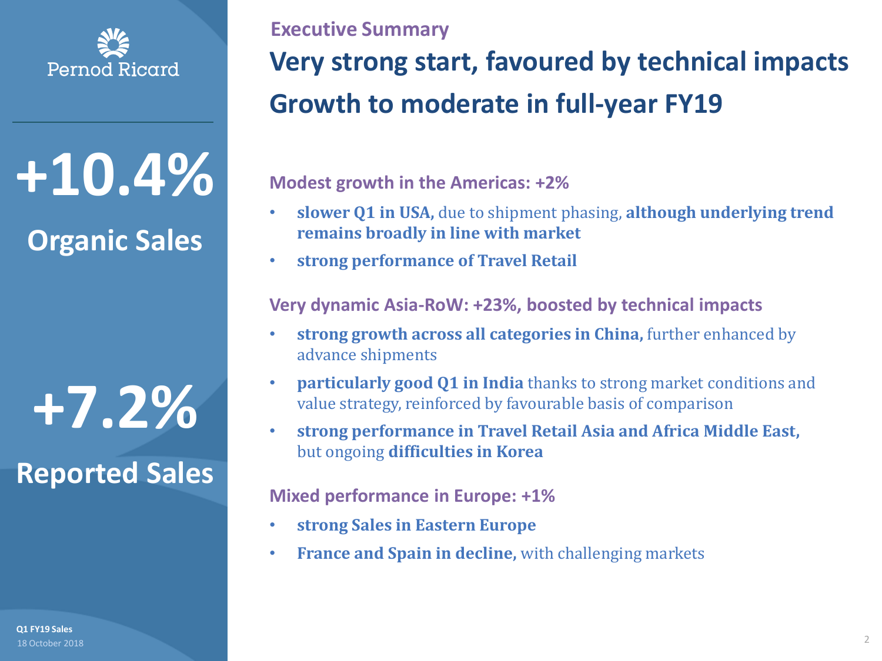

**+10.4%**

## **Organic Sales**

**+7.2% Reported Sales**

18 October 2018 **Q1 FY19 Sales**

# **Very strong start, favoured by technical impacts Growth to moderate in full-year FY19 Executive Summary**

**Modest growth in the Americas: +2%**

- **slower Q1 in USA,** due to shipment phasing, **although underlying trend remains broadly in line with market**
- **strong performance of Travel Retail**

**Very dynamic Asia-RoW: +23%, boosted by technical impacts**

- **strong growth across all categories in China,** further enhanced by advance shipments
- **particularly good Q1 in India** thanks to strong market conditions and value strategy, reinforced by favourable basis of comparison
- **strong performance in Travel Retail Asia and Africa Middle East,**  but ongoing **difficulties in Korea**

#### **Mixed performance in Europe: +1%**

- **strong Sales in Eastern Europe**
- **France and Spain in decline,** with challenging markets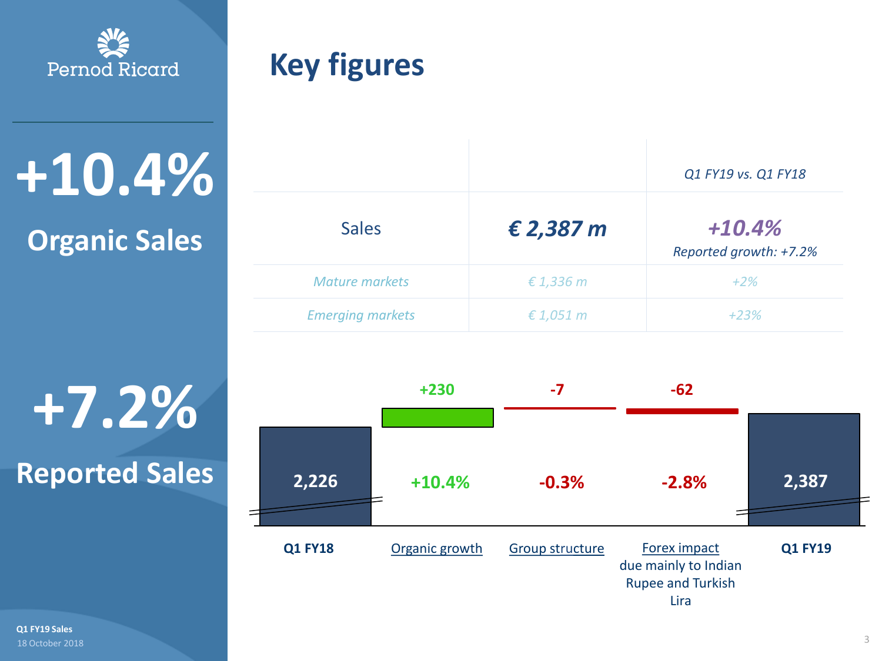

**+10.4%**

# **Organic Sales**

**+7.2% Reported Sales**

18 October 2018 **Q1 FY19 Sales**

# **Key figures**

|                         |                    | Q1 FY19 vs. Q1 FY18                |
|-------------------------|--------------------|------------------------------------|
| <b>Sales</b>            | $\epsilon$ 2,387 m | $+10.4%$<br>Reported growth: +7.2% |
| <b>Mature markets</b>   | $\epsilon$ 1,336 m | $+2\%$                             |
| <b>Emerging markets</b> | $\epsilon$ 1,051 m | $+23%$                             |

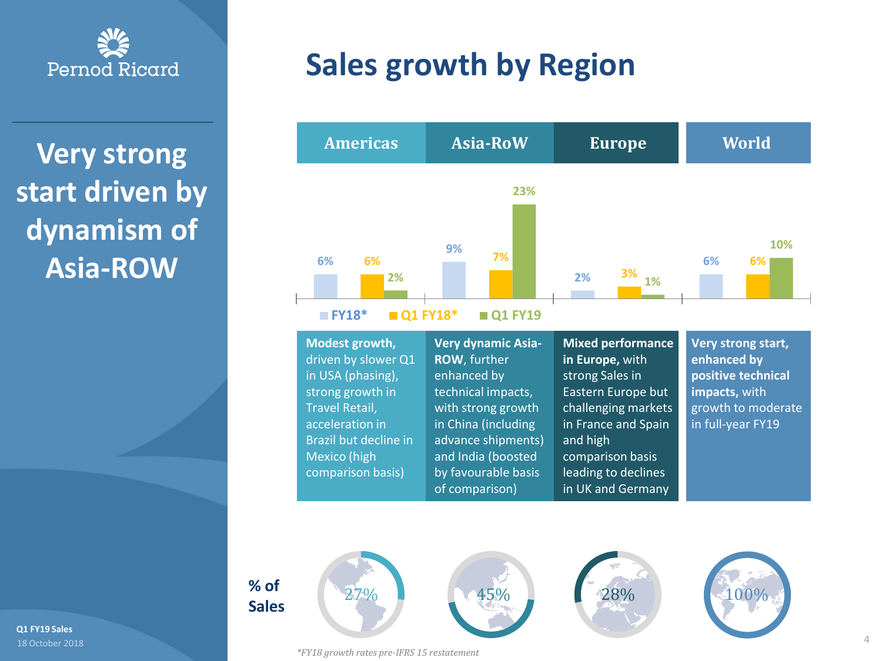

**Very strong start driven by dynamism of Asia-ROW**

> **% of Sales**



*\*FY18 growth rates pre-IFRS 15 restatement*





**Modest growth,**  driven by slower Q1 in USA (phasing), strong growth in Travel Retail, acceleration in Brazil but decline in Mexico (high comparison basis)

**Very dynamic Asia-ROW**, further enhanced by technical impacts, with strong growth in China (including advance shipments) and India (boosted by favourable basis of comparison)

**Mixed performance in Europe,** with strong Sales in Eastern Europe but challenging markets in France and Spain and high comparison basis leading to declines in UK and Germany

**Very strong start, enhanced by positive technical impacts,** with growth to moderate in full-year FY19



18 October 2018 **Q1 FY19 Sales**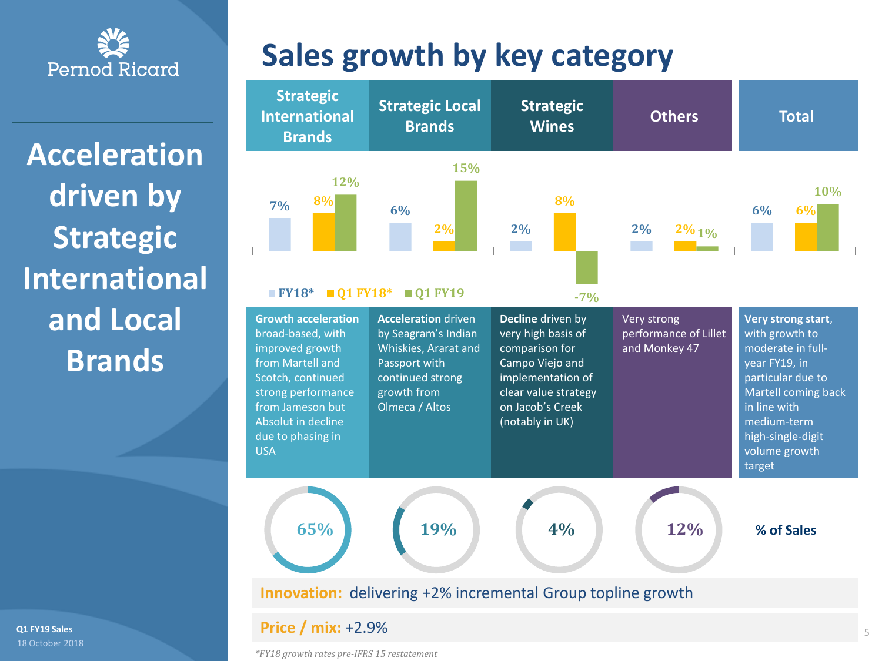

**Acceleration driven by Strategic International and Local Brands**

18 October 2018 **Q1 FY19 Sales**

# **Sales growth by key category**



#### **Price / mix:** +2.9%

*\*FY18 growth rates pre-IFRS 15 restatement*

5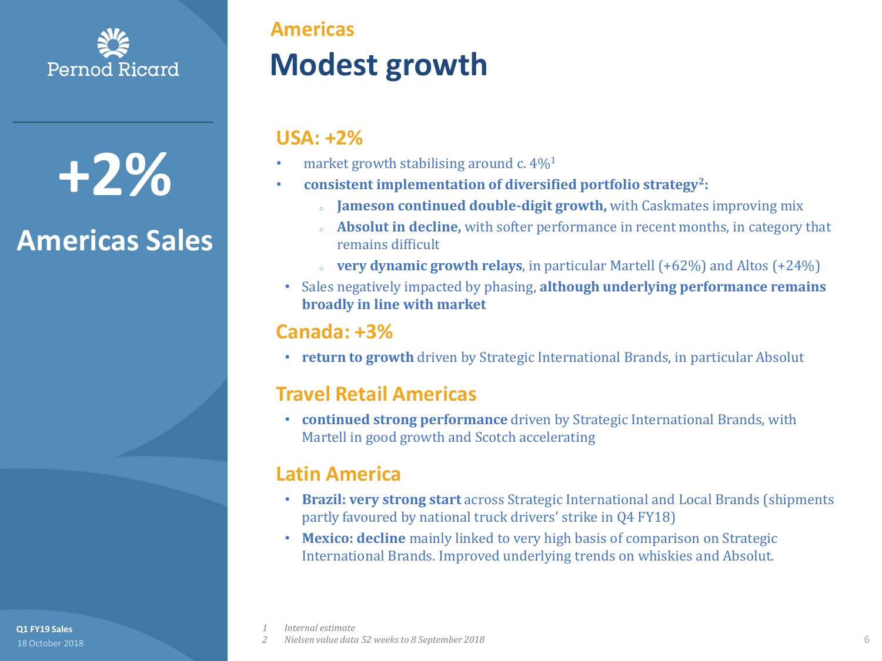

**+2%**

# **Americas Sales**

**Americas**

# **Modest growth**

#### **USA: +2%**

- market growth stabilising around c.  $4\%$ <sup>1</sup>
- **consistent implementation of diversified portfolio strategy<sup>2</sup> :**
	- Jameson continued double-digit growth, with Caskmates improving mix
	- <sup>o</sup> **Absolut in decline,** with softer performance in recent months, in category that remains difficult
	- **very dynamic growth relays**, in particular Martell (+62%) and Altos (+24%)
- Sales negatively impacted by phasing, **although underlying performance remains broadly in line with market**

#### **Canada: +3%**

• **return to growth** driven by Strategic International Brands, in particular Absolut

#### **Travel Retail Americas**

• **continued strong performance** driven by Strategic International Brands, with Martell in good growth and Scotch accelerating

#### **Latin America**

- **Brazil: very strong start** across Strategic International and Local Brands (shipments partly favoured by national truck drivers' strike in Q4 FY18)
- **Mexico: decline** mainly linked to very high basis of comparison on Strategic International Brands. Improved underlying trends on whiskies and Absolut.

**Q1 FY19 Sales**

*1 Internal estimate*

*2 Nielsen value data 52 weeks to 8 September 2018* 18 October 2018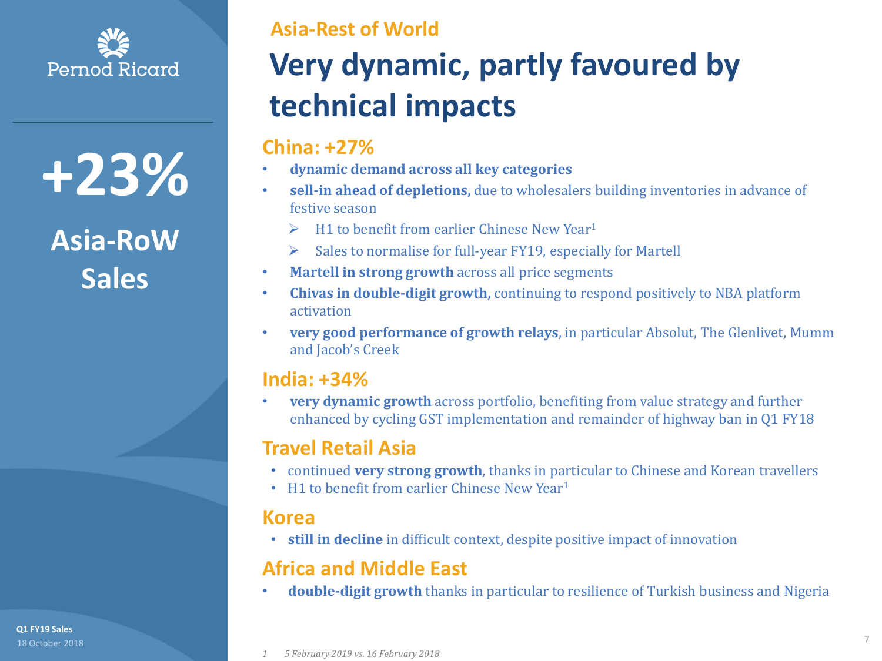

**+23%**

# **Asia-RoW Sales**

18 October 2018 **Q1 FY19 Sales**

**Asia-Rest of World**

# **Very dynamic, partly favoured by technical impacts**

#### **China: +27%**

- **dynamic demand across all key categories**
- **sell-in ahead of depletions,** due to wholesalers building inventories in advance of festive season
	- $\triangleright$  H1 to benefit from earlier Chinese New Year<sup>1</sup>
	- ➢ Sales to normalise for full-year FY19, especially for Martell
- **Martell in strong growth** across all price segments
- **Chivas in double-digit growth,** continuing to respond positively to NBA platform activation
- **very good performance of growth relays**, in particular Absolut, The Glenlivet, Mumm and Jacob's Creek

#### **India: +34%**

• **very dynamic growth** across portfolio, benefiting from value strategy and further enhanced by cycling GST implementation and remainder of highway ban in Q1 FY18

#### **Travel Retail Asia**

- continued **very strong growth**, thanks in particular to Chinese and Korean travellers
- H1 to benefit from earlier Chinese New Year<sup>1</sup>

#### **Korea**

• **still in decline** in difficult context, despite positive impact of innovation

#### **Africa and Middle East**

• **double-digit growth** thanks in particular to resilience of Turkish business and Nigeria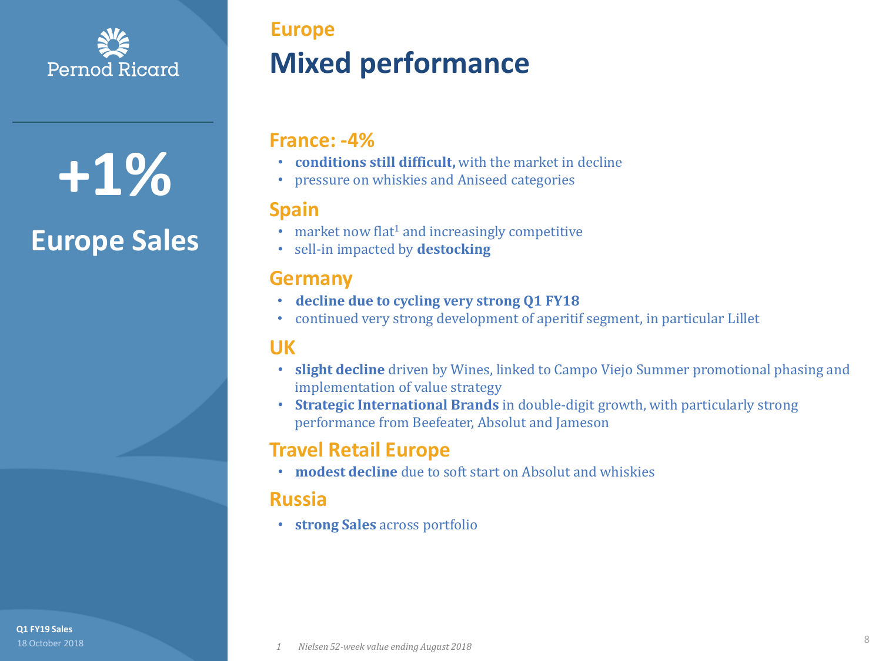

**+1%**

# **Europe Sales**

**Mixed performance Europe**

#### **France: -4%**

- **conditions still difficult,** with the market in decline
- pressure on whiskies and Aniseed categories

#### **Spain**

- $\cdot$  market now flat<sup>1</sup> and increasingly competitive
- sell-in impacted by **destocking**

#### **Germany**

- **decline due to cycling very strong Q1 FY18**
- continued very strong development of aperitif segment, in particular Lillet

#### **UK**

- **slight decline** driven by Wines, linked to Campo Viejo Summer promotional phasing and implementation of value strategy
- **Strategic International Brands** in double-digit growth, with particularly strong performance from Beefeater, Absolut and Jameson

#### **Travel Retail Europe**

• **modest decline** due to soft start on Absolut and whiskies

#### **Russia**

• **strong Sales** across portfolio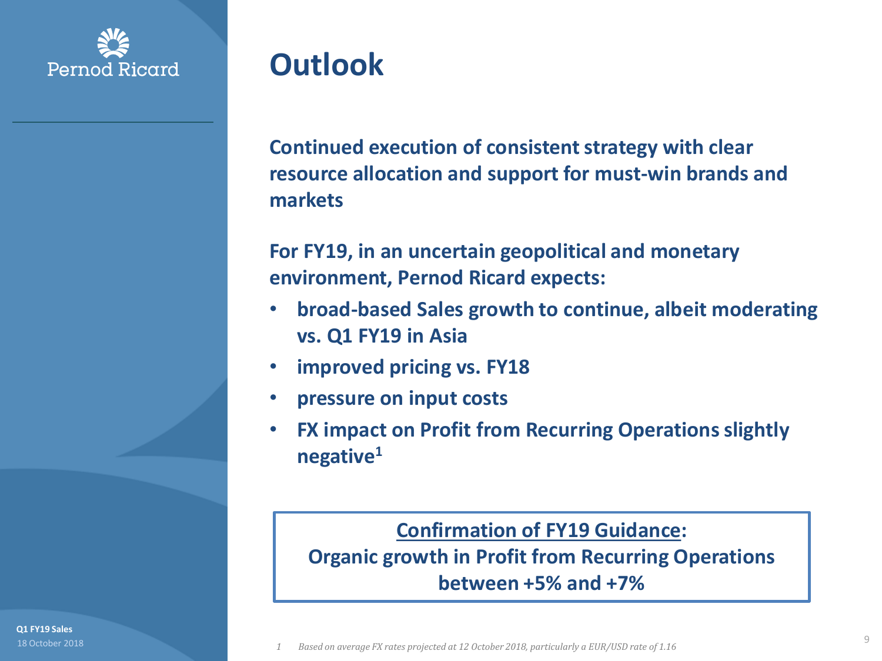

# **Outlook**

**Continued execution of consistent strategy with clear resource allocation and support for must-win brands and markets**

**For FY19, in an uncertain geopolitical and monetary environment, Pernod Ricard expects:**

- **broad-based Sales growth to continue, albeit moderating vs. Q1 FY19 in Asia**
- **improved pricing vs. FY18**
- **pressure on input costs**
- **FX impact on Profit from Recurring Operations slightly negative<sup>1</sup>**

#### **Confirmation of FY19 Guidance:**

**Organic growth in Profit from Recurring Operations between +5% and +7%**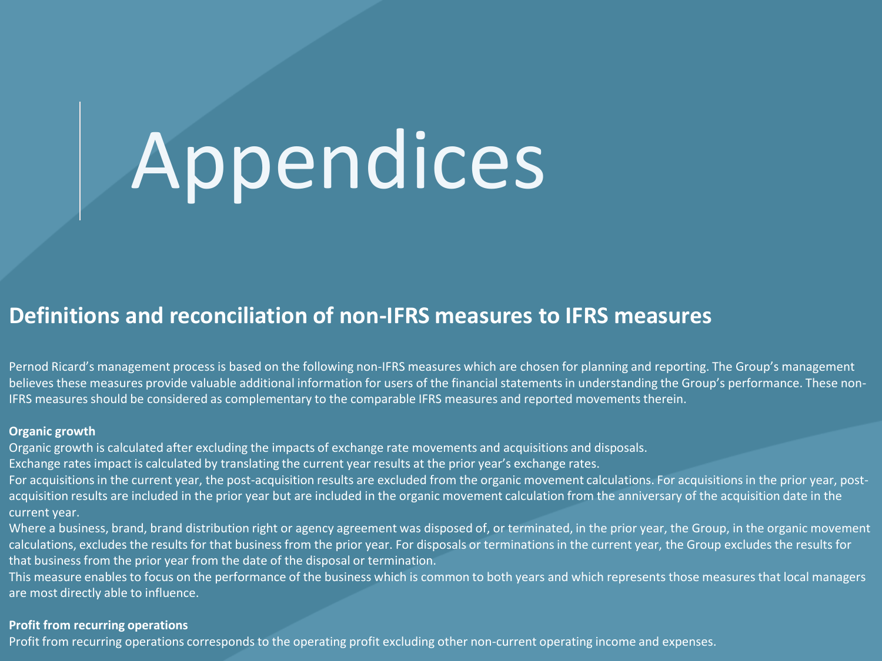# Appendices

#### **Definitions and reconciliation of non-IFRS measures to IFRS measures**

Pernod Ricard's management process is based on the following non-IFRS measures which are chosen for planning and reporting. The Group's management believes these measures provide valuable additional information for users of the financial statements in understanding the Group's performance. These non-IFRS measures should be considered as complementary to the comparable IFRS measures and reported movements therein.

#### **Organic growth**

Organic growth is calculated after excluding the impacts of exchange rate movements and acquisitions and disposals.

Exchange rates impact is calculated by translating the current year results at the prior year's exchange rates.

For acquisitions in the current year, the post-acquisition results are excluded from the organic movement calculations. For acquisitions in the prior year, postacquisition results are included in the prior year but are included in the organic movement calculation from the anniversary of the acquisition date in the current year.

Where a business, brand, brand distribution right or agency agreement was disposed of, or terminated, in the prior year, the Group, in the organic movement calculations, excludes the results for that business from the prior year. For disposals or terminations in the current year, the Group excludes the results for that business from the prior year from the date of the disposal or termination.

This measure enables to focus on the performance of the business which is common to both years and which represents those measures that local managers are most directly able to influence.

#### **Profit from recurring operations**

Profit from recurring operations corresponds to the operating profit excluding other non-current operating income and expenses.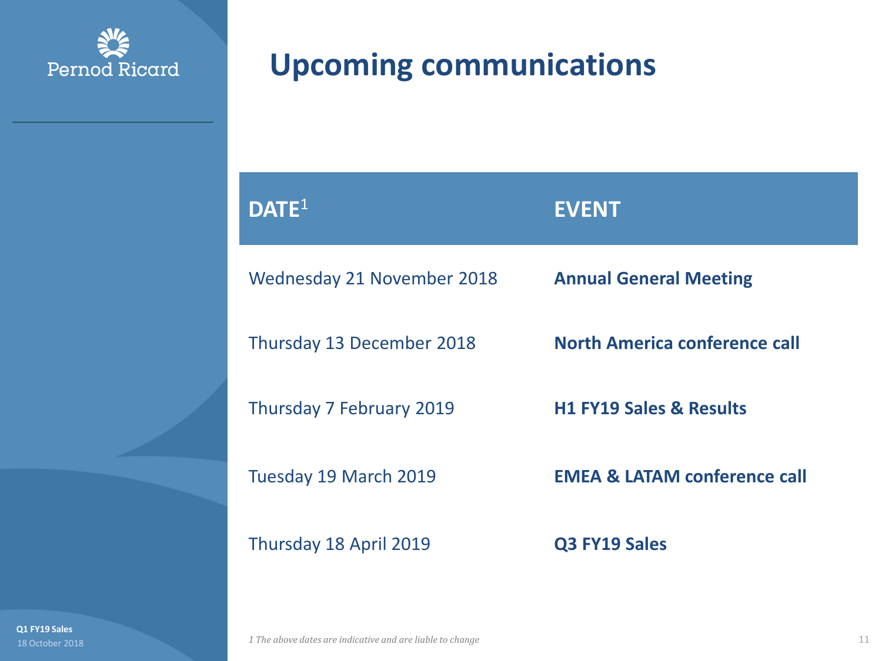

# **Upcoming communications**

| $\mathsf{DATE}^1$          | <b>EVENT</b>                            |
|----------------------------|-----------------------------------------|
| Wednesday 21 November 2018 | <b>Annual General Meeting</b>           |
| Thursday 13 December 2018  | North America conference call           |
| Thursday 7 February 2019   | <b>H1 FY19 Sales &amp; Results</b>      |
| Tuesday 19 March 2019      | <b>EMEA &amp; LATAM conference call</b> |
| Thursday 18 April 2019     | Q3 FY19 Sales                           |

**Q1 FY19 Sales**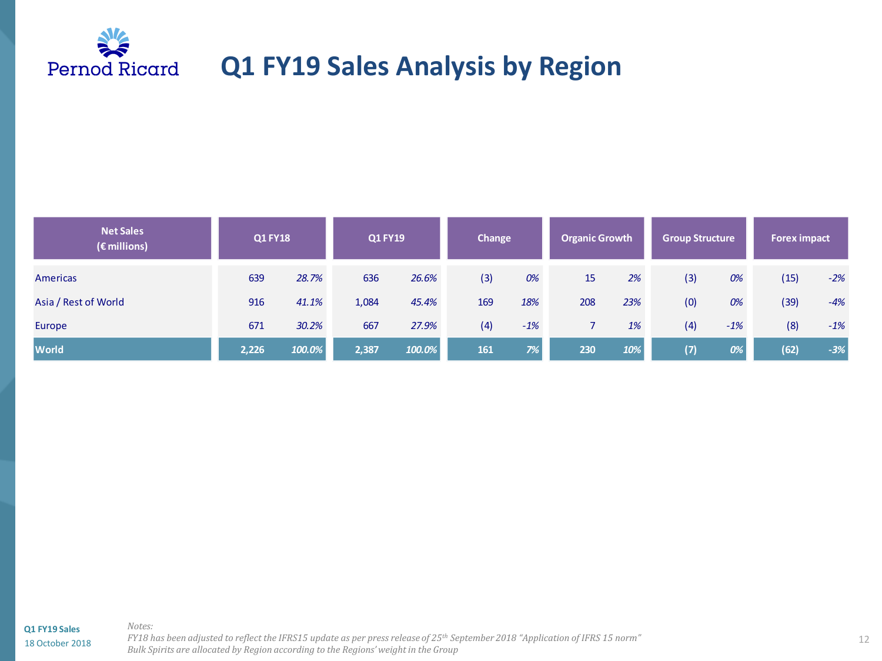

### **Q1 FY19 Sales Analysis by Region**

| <b>Net Sales</b><br>$(\epsilon$ millions) | <b>Q1 FY18</b> |        | <b>Q1 FY19</b> |        | Change |       | <b>Organic Growth</b> |     | <b>Group Structure</b> |       | <b>Forex impact</b> |       |
|-------------------------------------------|----------------|--------|----------------|--------|--------|-------|-----------------------|-----|------------------------|-------|---------------------|-------|
| <b>Americas</b>                           | 639            | 28.7%  | 636            | 26.6%  | (3)    | 0%    | 15                    | 2%  | (3)                    | 0%    | (15)                | $-2%$ |
| Asia / Rest of World                      | 916            | 41.1%  | 1,084          | 45.4%  | 169    | 18%   | 208                   | 23% | (0)                    | 0%    | (39)                | $-4%$ |
| Europe                                    | 671            | 30.2%  | 667            | 27.9%  | (4)    | $-1%$ |                       | 1%  | (4)                    | $-1%$ | (8)                 | $-1%$ |
| <b>World</b>                              | 2,226          | 100.0% | 2,387          | 100.0% | 161    | 7%    | 230                   | 10% | (7)                    | 0%    | (62)                | $-3%$ |